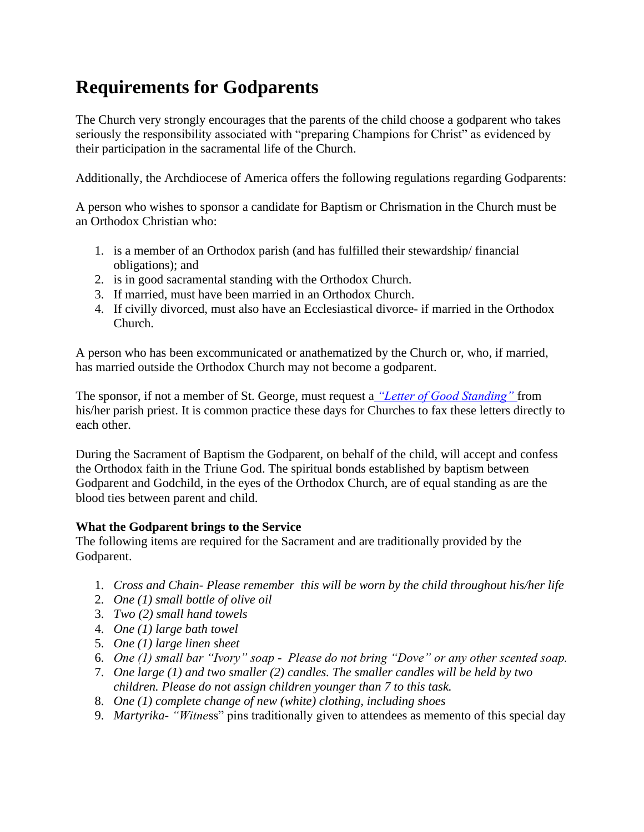# **Requirements for Godparents**

The Church very strongly encourages that the parents of the child choose a godparent who takes seriously the responsibility associated with "preparing Champions for Christ" as evidenced by their participation in the sacramental life of the Church.

Additionally, the Archdiocese of America offers the following regulations regarding Godparents:

A person who wishes to sponsor a candidate for Baptism or Chrismation in the Church must be an Orthodox Christian who:

- 1. is a member of an Orthodox parish (and has fulfilled their stewardship/ financial obligations); and
- 2. is in good sacramental standing with the Orthodox Church.
- 3. If married, must have been married in an Orthodox Church.
- 4. If civilly divorced, must also have an Ecclesiastical divorce- if married in the Orthodox Church.

A person who has been excommunicated or anathematized by the Church or, who, if married, has married outside the Orthodox Church may not become a godparent.

The sponsor, if not a member of St. George, must request a *["Letter of Good Standing"](http://stgeorgedowney.org/services-and-sacramental-information/letters-of-good-standing/)* from his/her parish priest. It is common practice these days for Churches to fax these letters directly to each other.

During the Sacrament of Baptism the Godparent, on behalf of the child, will accept and confess the Orthodox faith in the Triune God. The spiritual bonds established by baptism between Godparent and Godchild, in the eyes of the Orthodox Church, are of equal standing as are the blood ties between parent and child.

### **What the Godparent brings to the Service**

The following items are required for the Sacrament and are traditionally provided by the Godparent.

- 1. *Cross and Chain- Please remember this will be worn by the child throughout his/her life*
- 2. *One (1) small bottle of olive oil*
- 3. *Two (2) small hand towels*
- 4. *One (1) large bath towel*
- 5. *One (1) large linen sheet*
- 6. *One (1) small bar "Ivory" soap - Please do not bring "Dove" or any other scented soap.*
- 7. *One large (1) and two smaller (2) candles. The smaller candles will be held by two children. Please do not assign children younger than 7 to this task.*
- 8. *One (1) complete change of new (white) clothing, including shoes*
- 9. *Martyrika- "Witne*ss" pins traditionally given to attendees as memento of this special day